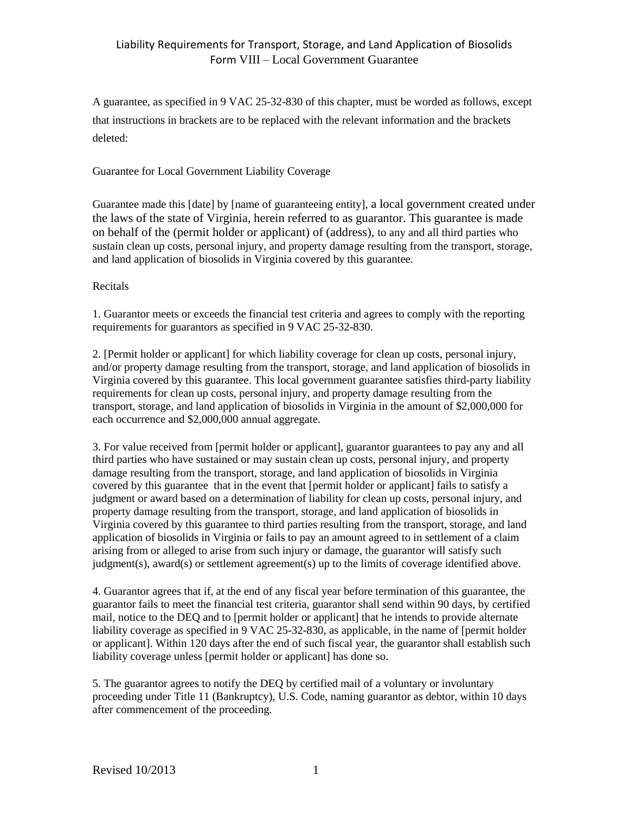A guarantee, as specified in 9 VAC 25-32-830 of this chapter, must be worded as follows, except that instructions in brackets are to be replaced with the relevant information and the brackets deleted:

## Guarantee for Local Government Liability Coverage

Guarantee made this [date] by [name of guaranteeing entity], a local government created under the laws of the state of Virginia, herein referred to as guarantor. This guarantee is made on behalf of the (permit holder or applicant) of (address), to any and all third parties who sustain clean up costs, personal injury, and property damage resulting from the transport, storage, and land application of biosolids in Virginia covered by this guarantee.

## Recitals

1. Guarantor meets or exceeds the financial test criteria and agrees to comply with the reporting requirements for guarantors as specified in 9 VAC 25-32-830.

2. [Permit holder or applicant] for which liability coverage for clean up costs, personal injury, and/or property damage resulting from the transport, storage, and land application of biosolids in Virginia covered by this guarantee. This local government guarantee satisfies third-party liability requirements for clean up costs, personal injury, and property damage resulting from the transport, storage, and land application of biosolids in Virginia in the amount of \$2,000,000 for each occurrence and \$2,000,000 annual aggregate.

3. For value received from [permit holder or applicant], guarantor guarantees to pay any and all third parties who have sustained or may sustain clean up costs, personal injury, and property damage resulting from the transport, storage, and land application of biosolids in Virginia covered by this guarantee that in the event that [permit holder or applicant] fails to satisfy a judgment or award based on a determination of liability for clean up costs, personal injury, and property damage resulting from the transport, storage, and land application of biosolids in Virginia covered by this guarantee to third parties resulting from the transport, storage, and land application of biosolids in Virginia or fails to pay an amount agreed to in settlement of a claim arising from or alleged to arise from such injury or damage, the guarantor will satisfy such judgment(s), award(s) or settlement agreement(s) up to the limits of coverage identified above.

4. Guarantor agrees that if, at the end of any fiscal year before termination of this guarantee, the guarantor fails to meet the financial test criteria, guarantor shall send within 90 days, by certified mail, notice to the DEQ and to [permit holder or applicant] that he intends to provide alternate liability coverage as specified in 9 VAC 25-32-830, as applicable, in the name of [permit holder or applicant]. Within 120 days after the end of such fiscal year, the guarantor shall establish such liability coverage unless [permit holder or applicant] has done so.

5. The guarantor agrees to notify the DEQ by certified mail of a voluntary or involuntary proceeding under Title 11 (Bankruptcy), U.S. Code, naming guarantor as debtor, within 10 days after commencement of the proceeding.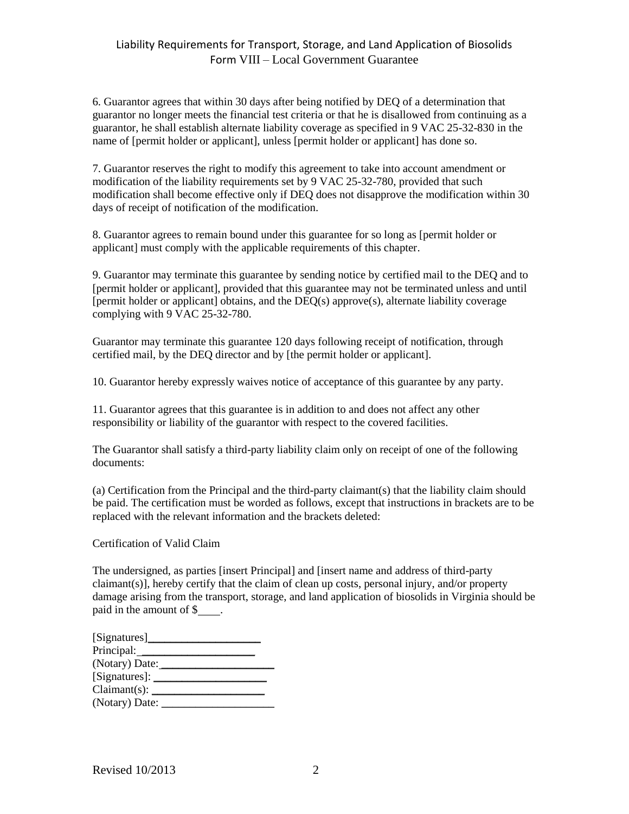6. Guarantor agrees that within 30 days after being notified by DEQ of a determination that guarantor no longer meets the financial test criteria or that he is disallowed from continuing as a guarantor, he shall establish alternate liability coverage as specified in 9 VAC 25-32-830 in the name of [permit holder or applicant], unless [permit holder or applicant] has done so.

7. Guarantor reserves the right to modify this agreement to take into account amendment or modification of the liability requirements set by 9 VAC 25-32-780, provided that such modification shall become effective only if DEQ does not disapprove the modification within 30 days of receipt of notification of the modification.

8. Guarantor agrees to remain bound under this guarantee for so long as [permit holder or applicant] must comply with the applicable requirements of this chapter.

9. Guarantor may terminate this guarantee by sending notice by certified mail to the DEQ and to [permit holder or applicant], provided that this guarantee may not be terminated unless and until [permit holder or applicant] obtains, and the DEQ(s) approve(s), alternate liability coverage complying with 9 VAC 25-32-780.

Guarantor may terminate this guarantee 120 days following receipt of notification, through certified mail, by the DEQ director and by [the permit holder or applicant].

10. Guarantor hereby expressly waives notice of acceptance of this guarantee by any party.

11. Guarantor agrees that this guarantee is in addition to and does not affect any other responsibility or liability of the guarantor with respect to the covered facilities.

The Guarantor shall satisfy a third-party liability claim only on receipt of one of the following documents:

(a) Certification from the Principal and the third-party claimant(s) that the liability claim should be paid. The certification must be worded as follows, except that instructions in brackets are to be replaced with the relevant information and the brackets deleted:

Certification of Valid Claim

The undersigned, as parties [insert Principal] and [insert name and address of third-party claimant(s)], hereby certify that the claim of clean up costs, personal injury, and/or property damage arising from the transport, storage, and land application of biosolids in Virginia should be paid in the amount of \$.

| Principal:      |  |
|-----------------|--|
| (Notary) Date:  |  |
| [Signatures]: _ |  |
| Claimant(s):    |  |
| (Notary) Date:  |  |